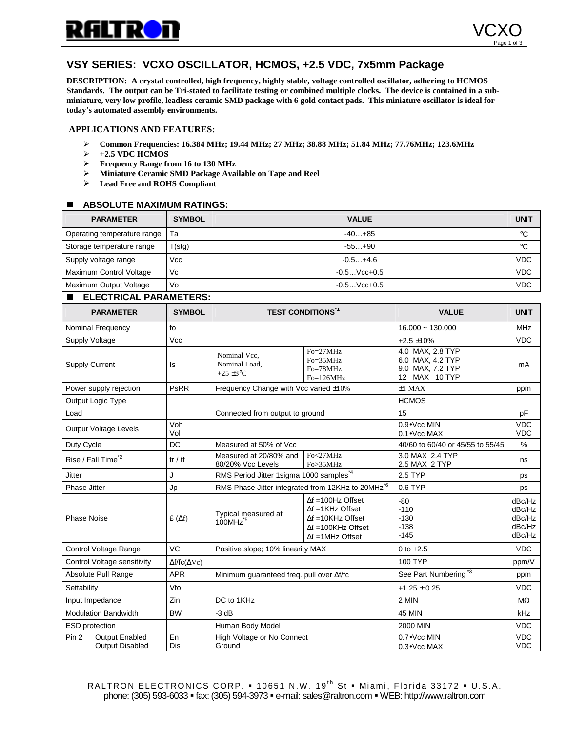

# **VSY SERIES: VCXO OSCILLATOR, HCMOS, +2.5 VDC, 7x5mm Package**

**DESCRIPTION: A crystal controlled, high frequency, highly stable, voltage controlled oscillator, adhering to HCMOS Standards. The output can be Tri-stated to facilitate testing or combined multiple clocks. The device is contained in a subminiature, very low profile, leadless ceramic SMD package with 6 gold contact pads. This miniature oscillator is ideal for today's automated assembly environments.**

#### **APPLICATIONS AND FEATURES:**

- " **Common Frequencies: 16.384 MHz; 19.44 MHz; 27 MHz; 38.88 MHz; 51.84 MHz; 77.76MHz; 123.6MHz**
- " **+2.5 VDC HCMOS**
- " **Frequency Range from 16 to 130 MHz**
- " **Miniature Ceramic SMD Package Available on Tape and Reel**
- > Lead Free and ROHS Compliant

## $\blacksquare$  ABSOLUTE MAXIMUM RATINGS:

| <b>PARAMETER</b>            | <b>SYMBOL</b> | <b>VALUE</b>   | <b>UNIT</b> |
|-----------------------------|---------------|----------------|-------------|
| Operating temperature range | Та            | $-40+85$       | °C          |
| Storage temperature range   | T(stg)        | $-55+90$       | °C          |
| Supply voltage range        | Vcc           | $-0.5+4.6$     | <b>VDC</b>  |
| Maximum Control Voltage     | Vc            | $-0.5$ Vcc+0.5 | <b>VDC</b>  |
| Maximum Output Voltage      | Vo            | $-0.5$ Vcc+0.5 | <b>VDC</b>  |

# **ELECTRICAL PARAMETERS:**

| <b>PARAMETER</b>                                             | <b>SYMBOL</b>                 | <b>TEST CONDITIONS</b> <sup>1</sup>                          |                                                                                                                                                   | <b>VALUE</b>                                                              | <b>UNIT</b>                                    |
|--------------------------------------------------------------|-------------------------------|--------------------------------------------------------------|---------------------------------------------------------------------------------------------------------------------------------------------------|---------------------------------------------------------------------------|------------------------------------------------|
| Nominal Frequency                                            | fo                            |                                                              |                                                                                                                                                   | $16.000 - 130.000$                                                        | MHz                                            |
| Supply Voltage                                               | Vcc                           |                                                              |                                                                                                                                                   | $+2.5 + 10%$                                                              | <b>VDC</b>                                     |
| <b>Supply Current</b>                                        | ls                            | Nominal Vcc.<br>Nominal Load.<br>$+25 \pm 3$ °C              | $Fo=27MHz$<br>$Fo = 35MHz$<br>Fo=78MHz<br>$Fo=126MHz$                                                                                             | 4.0 MAX, 2.8 TYP<br>6.0 MAX, 4.2 TYP<br>9.0 MAX, 7.2 TYP<br>12 MAX 10 TYP | mA                                             |
| Power supply rejection                                       | <b>PsRR</b>                   | Frequency Change with Vcc varied ±10%                        |                                                                                                                                                   | $±1$ MAX                                                                  | ppm                                            |
| Output Logic Type                                            |                               |                                                              |                                                                                                                                                   | <b>HCMOS</b>                                                              |                                                |
| Load                                                         |                               | Connected from output to ground                              |                                                                                                                                                   | 15                                                                        | pF                                             |
| <b>Output Voltage Levels</b>                                 | Voh<br>Vol                    | $0.9 \cdot$ Vcc MIN<br>$0.1 \bullet$ Vcc MAX                 |                                                                                                                                                   |                                                                           | <b>VDC</b><br><b>VDC</b>                       |
| Duty Cycle                                                   | DC                            | Measured at 50% of Vcc                                       |                                                                                                                                                   | 40/60 to 60/40 or 45/55 to 55/45                                          | $\%$                                           |
| Rise / Fall Time <sup>*2</sup>                               | tr / tf                       | Measured at 20/80% and<br>80/20% Vcc Levels                  | Fo<27MHz<br>Fo>35MHz                                                                                                                              | 3.0 MAX 2.4 TYP<br>2.5 MAX 2 TYP                                          | ns                                             |
| <b>Jitter</b>                                                | J                             | RMS Period Jitter 1sigma 1000 samples*4                      |                                                                                                                                                   | 2.5 TYP                                                                   | ps                                             |
| <b>Phase Jitter</b>                                          | Jp                            | RMS Phase Jitter integrated from 12KHz to 20MHz <sup>6</sup> |                                                                                                                                                   | $0.6$ TYP                                                                 | ps                                             |
| <b>Phase Noise</b>                                           | £ $(\Delta f)$                | Typical measured at<br>$100$ MHz <sup><math>*5</math></sup>  | $\Delta f = 100$ Hz Offset<br>$\Delta f = 1$ KHz Offset<br>$\Delta f = 10K$ Hz Offset<br>$\Delta f = 100$ KHz Offset<br>$\Delta f = 1$ MHz Offset | $-80$<br>$-110$<br>$-130$<br>$-138$<br>$-145$                             | dBc/Hz<br>dBc/Hz<br>dBc/Hz<br>dBc/Hz<br>dBc/Hz |
| Control Voltage Range                                        | VC                            | Positive slope; 10% linearity MAX                            |                                                                                                                                                   | 0 to $+2.5$                                                               | <b>VDC</b>                                     |
| Control Voltage sensitivity                                  | $\Delta f$ /fc( $\Delta Vc$ ) |                                                              |                                                                                                                                                   | 100 TYP                                                                   | ppm/V                                          |
| Absolute Pull Range                                          | <b>APR</b>                    | Minimum guaranteed freq. pull over Af/fc                     |                                                                                                                                                   | See Part Numbering <sup>*3</sup>                                          | ppm                                            |
| Settability                                                  | Vfo                           |                                                              |                                                                                                                                                   | $+1.25 \pm 0.25$                                                          | <b>VDC</b>                                     |
| Input Impedance                                              | Zin                           | DC to 1KHz                                                   |                                                                                                                                                   | 2 MIN                                                                     | $M\Omega$                                      |
| <b>Modulation Bandwidth</b>                                  | <b>BW</b>                     | $-3$ dB                                                      |                                                                                                                                                   | <b>45 MIN</b>                                                             | kHz                                            |
| <b>ESD</b> protection                                        |                               | Human Body Model                                             |                                                                                                                                                   | 2000 MIN                                                                  | <b>VDC</b>                                     |
| Pin <sub>2</sub><br>Output Enabled<br><b>Output Disabled</b> | En<br>Dis                     | High Voltage or No Connect<br>Ground                         |                                                                                                                                                   | $0.7 \cdot$ Vcc MIN<br>0.3• Vcc MAX                                       | <b>VDC</b><br><b>VDC</b>                       |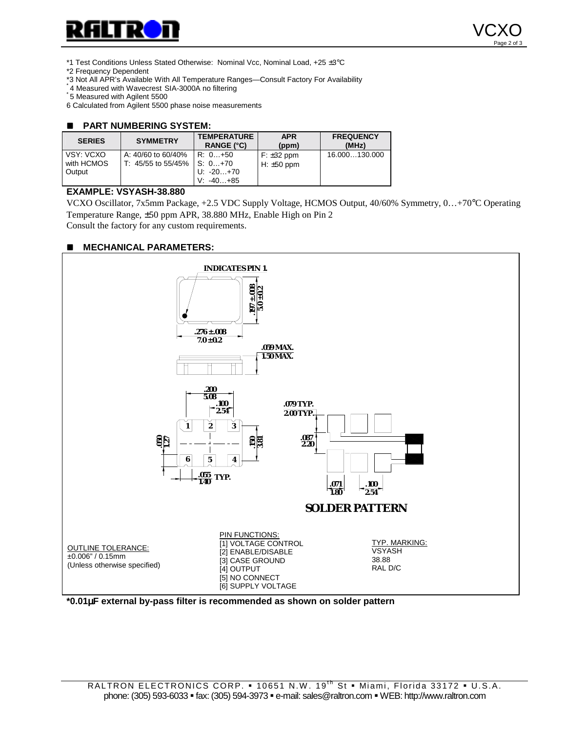



\*1 Test Conditions Unless Stated Otherwise: Nominal Vcc, Nominal Load, +25 ±3°C

\*2 Frequency Dependent

\*3 Not All APR's Available With All Temperature Ranges—Consult Factory For Availability \* 4 Measured with Wavecrest SIA-3000A no filtering \* 5 Measured with Agilent 5500

6 Calculated from Agilent 5500 phase noise measurements

#### $\blacksquare$  **PART NUMBERING SYSTEM:**

| <b>SERIES</b>                     | <b>SYMMETRY</b>                          | <b>TEMPERATURE</b><br>RANGE (°C)                 | <b>APR</b><br>(ppm)             | <b>FREQUENCY</b><br>(MHz) |
|-----------------------------------|------------------------------------------|--------------------------------------------------|---------------------------------|---------------------------|
| VSY: VCXO<br>with HCMOS<br>Output | A: 40/60 to 60/40%<br>T: 45/55 to 55/45% | R: 0+50<br>$S: 0+70$<br>U: -20+70<br>$V: -40+85$ | $F: \pm 32$ ppm<br>H: $±50$ ppm | 16.000130.000             |

# **EXAMPLE: VSYASH-38.880**

VCXO Oscillator, 7x5mm Package, +2.5 VDC Supply Voltage, HCMOS Output, 40/60% Symmetry, 0…+70°C Operating Temperature Range, ±50 ppm APR, 38.880 MHz, Enable High on Pin 2 Consult the factory for any custom requirements.

## $\blacksquare$  MECHANICAL PARAMETERS:



## **\*0.01**µ**F external by-pass filter is recommended as shown on solder pattern**